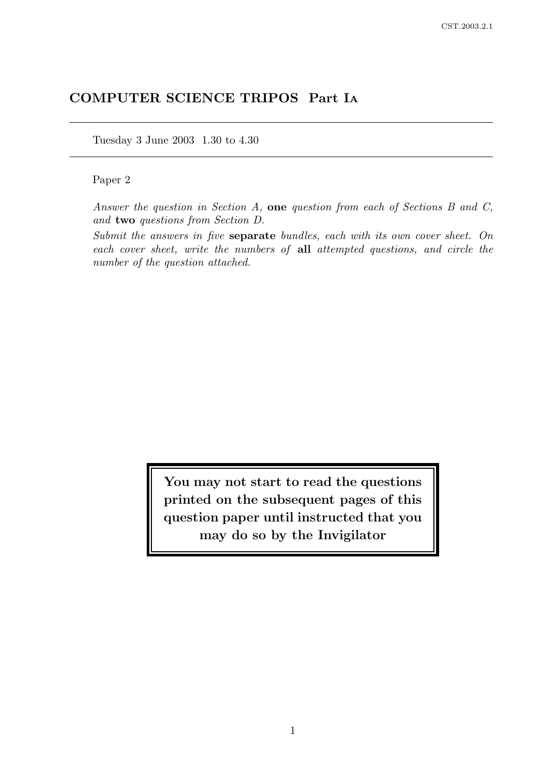# COMPUTER SCIENCE TRIPOS Part I<sup>A</sup>

Tuesday 3 June 2003 1.30 to 4.30

# Paper 2

Answer the question in Section A, one question from each of Sections B and C, and two questions from Section D.

Submit the answers in five separate bundles, each with its own cover sheet. On each cover sheet, write the numbers of all attempted questions, and circle the number of the question attached.

> You may not start to read the questions printed on the subsequent pages of this question paper until instructed that you may do so by the Invigilator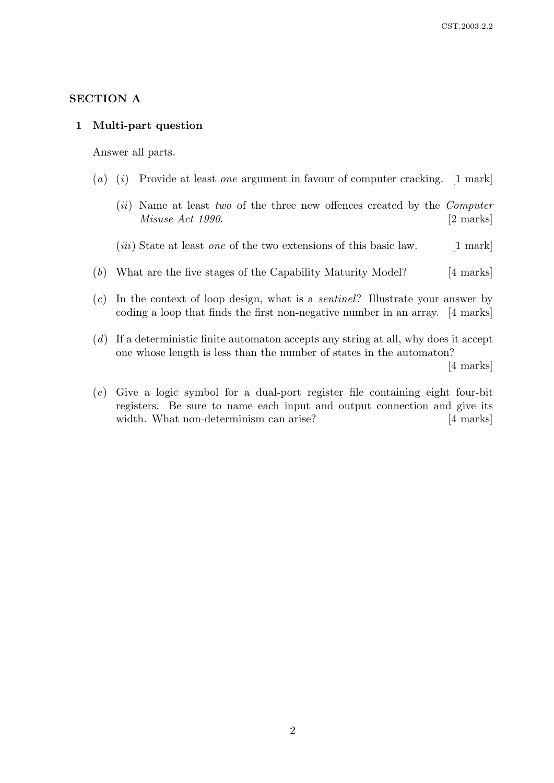## SECTION A

#### 1 Multi-part question

Answer all parts.

- (a) (i) Provide at least one argument in favour of computer cracking.  $[1 \text{ mark}]$ 
	- (*ii*) Name at least two of the three new offences created by the *Computer* Misuse Act 1990. [2 marks]
	- $(iii)$  State at least *one* of the two extensions of this basic law. [1 mark]
- (b) What are the five stages of the Capability Maturity Model? [4 marks]
- $(c)$  In the context of loop design, what is a *sentinel*? Illustrate your answer by coding a loop that finds the first non-negative number in an array. [4 marks]
- (d) If a deterministic finite automaton accepts any string at all, why does it accept one whose length is less than the number of states in the automaton?

[4 marks]

(e) Give a logic symbol for a dual-port register file containing eight four-bit registers. Be sure to name each input and output connection and give its width. What non-determinism can arise? [4 marks]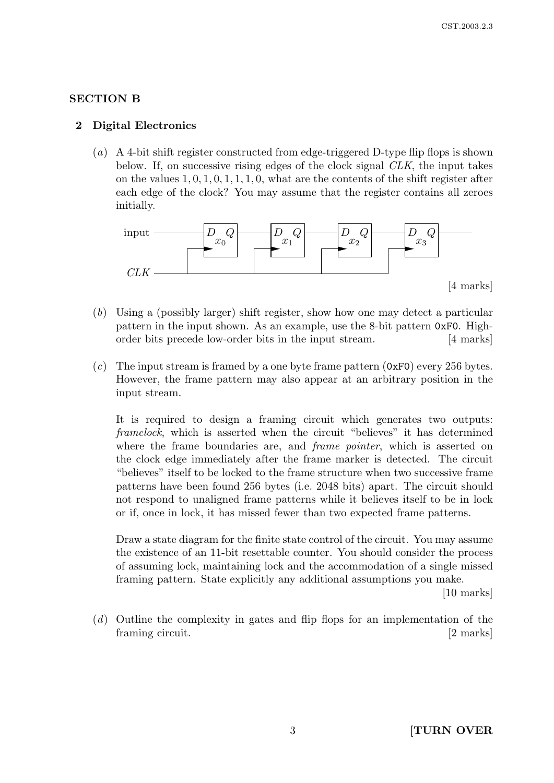# SECTION B

#### 2 Digital Electronics

(a) A 4-bit shift register constructed from edge-triggered D-type flip flops is shown below. If, on successive rising edges of the clock signal CLK, the input takes on the values  $1, 0, 1, 0, 1, 1, 1, 0$ , what are the contents of the shift register after each edge of the clock? You may assume that the register contains all zeroes initially.



- (b) Using a (possibly larger) shift register, show how one may detect a particular pattern in the input shown. As an example, use the 8-bit pattern 0xF0. Highorder bits precede low-order bits in the input stream. [4 marks]
- (c) The input stream is framed by a one byte frame pattern  $(0xF0)$  every 256 bytes. However, the frame pattern may also appear at an arbitrary position in the input stream.

It is required to design a framing circuit which generates two outputs: framelock, which is asserted when the circuit "believes" it has determined where the frame boundaries are, and *frame pointer*, which is asserted on the clock edge immediately after the frame marker is detected. The circuit "believes" itself to be locked to the frame structure when two successive frame patterns have been found 256 bytes (i.e. 2048 bits) apart. The circuit should not respond to unaligned frame patterns while it believes itself to be in lock or if, once in lock, it has missed fewer than two expected frame patterns.

Draw a state diagram for the finite state control of the circuit. You may assume the existence of an 11-bit resettable counter. You should consider the process of assuming lock, maintaining lock and the accommodation of a single missed framing pattern. State explicitly any additional assumptions you make.

[10 marks]

(d) Outline the complexity in gates and flip flops for an implementation of the framing circuit. [2 marks]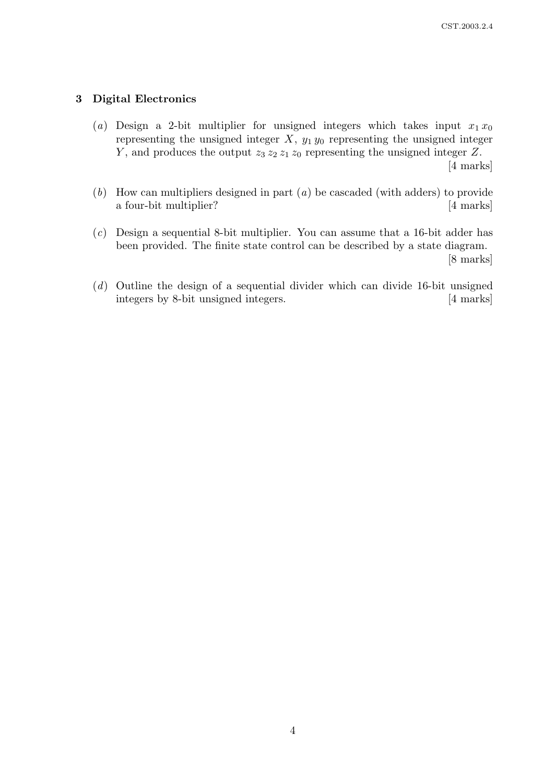## 3 Digital Electronics

- (a) Design a 2-bit multiplier for unsigned integers which takes input  $x_1 x_0$ representing the unsigned integer  $X$ ,  $y_1 y_0$  representing the unsigned integer Y, and produces the output  $z_3 z_2 z_1 z_0$  representing the unsigned integer Z. [4 marks]
- (b) How can multipliers designed in part (a) be cascaded (with adders) to provide a four-bit multiplier? [4 marks]
- (c) Design a sequential 8-bit multiplier. You can assume that a 16-bit adder has been provided. The finite state control can be described by a state diagram. [8 marks]
- (d) Outline the design of a sequential divider which can divide 16-bit unsigned integers by 8-bit unsigned integers. [4 marks]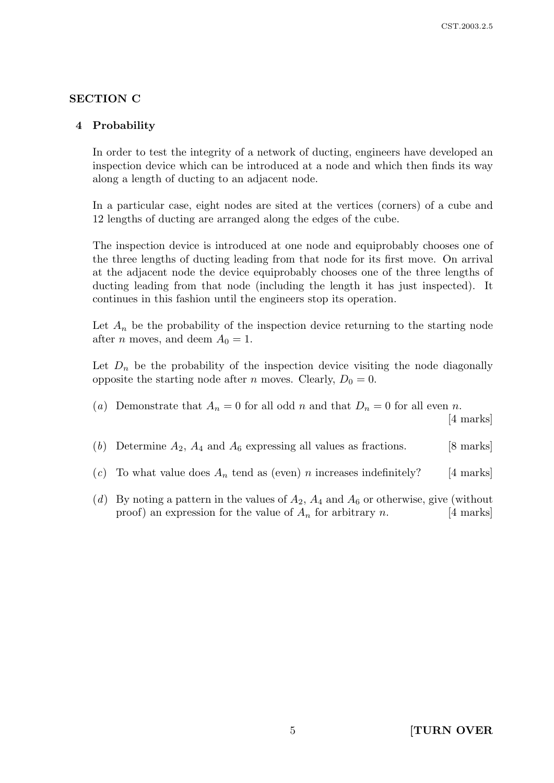# SECTION C

## 4 Probability

In order to test the integrity of a network of ducting, engineers have developed an inspection device which can be introduced at a node and which then finds its way along a length of ducting to an adjacent node.

In a particular case, eight nodes are sited at the vertices (corners) of a cube and 12 lengths of ducting are arranged along the edges of the cube.

The inspection device is introduced at one node and equiprobably chooses one of the three lengths of ducting leading from that node for its first move. On arrival at the adjacent node the device equiprobably chooses one of the three lengths of ducting leading from that node (including the length it has just inspected). It continues in this fashion until the engineers stop its operation.

Let  $A_n$  be the probability of the inspection device returning to the starting node after *n* moves, and deem  $A_0 = 1$ .

Let  $D_n$  be the probability of the inspection device visiting the node diagonally opposite the starting node after n moves. Clearly,  $D_0 = 0$ .

(a) Demonstrate that  $A_n = 0$  for all odd n and that  $D_n = 0$  for all even n. [4 marks]

(b) Determine  $A_2$ ,  $A_4$  and  $A_6$  expressing all values as fractions. [8 marks]

- (c) To what value does  $A_n$  tend as (even) n increases indefinitely? [4 marks]
- (d) By noting a pattern in the values of  $A_2$ ,  $A_4$  and  $A_6$  or otherwise, give (without proof) an expression for the value of  $A_n$  for arbitrary n. [4 marks]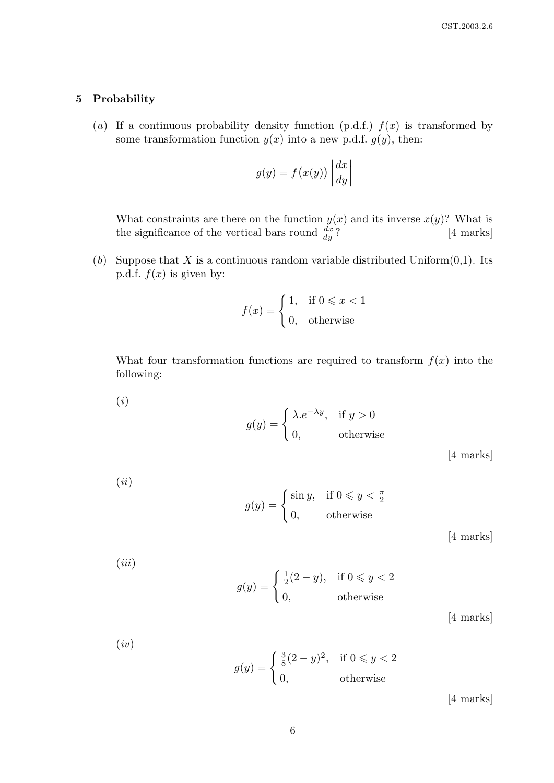#### 5 Probability

(ii)

(a) If a continuous probability density function (p.d.f.)  $f(x)$  is transformed by some transformation function  $y(x)$  into a new p.d.f.  $q(y)$ , then:

$$
g(y) = f(x(y)) \left| \frac{dx}{dy} \right|
$$

What constraints are there on the function  $y(x)$  and its inverse  $x(y)$ ? What is the significance of the vertical bars round  $\frac{dx}{dy}$ ? [4 marks]

(b) Suppose that X is a continuous random variable distributed Uniform $(0,1)$ . Its p.d.f.  $f(x)$  is given by:

$$
f(x) = \begin{cases} 1, & \text{if } 0 \leq x < 1 \\ 0, & \text{otherwise} \end{cases}
$$

What four transformation functions are required to transform  $f(x)$  into the following:

(i)  
\n
$$
g(y) = \begin{cases} \lambda.e^{-\lambda y}, & \text{if } y > 0 \\ 0, & \text{otherwise} \end{cases}
$$
\n[4 marks]

$$
g(y) = \begin{cases} \sin y, & \text{if } 0 \leqslant y < \frac{\pi}{2} \\ 0, & \text{otherwise} \end{cases}
$$

[4 marks]

(iii)  

$$
g(y) = \begin{cases} \frac{1}{2}(2-y), & \text{if } 0 \le y < 2 \\ 0, & \text{otherwise} \end{cases}
$$

[4 marks]

(iv)  

$$
g(y) = \begin{cases} \frac{3}{8}(2-y)^2, & \text{if } 0 \le y < 2 \\ 0, & \text{otherwise} \end{cases}
$$

[4 marks]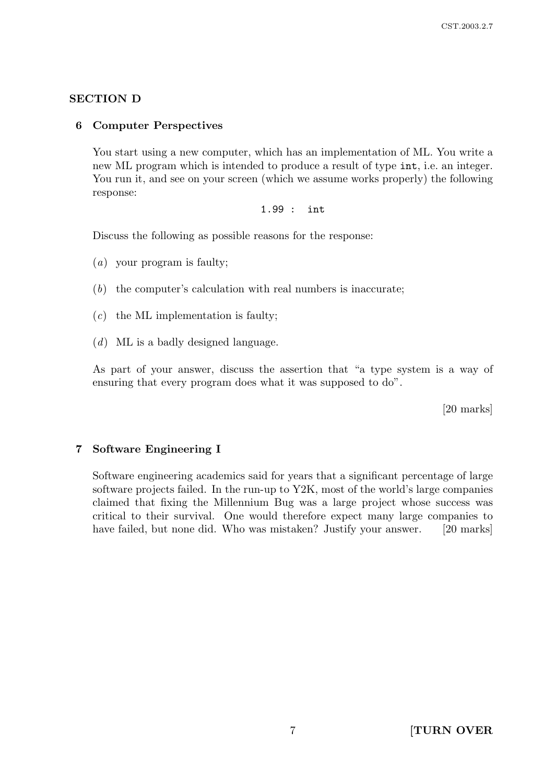## SECTION D

#### 6 Computer Perspectives

You start using a new computer, which has an implementation of ML. You write a new ML program which is intended to produce a result of type int, i.e. an integer. You run it, and see on your screen (which we assume works properly) the following response:

1.99 : int

Discuss the following as possible reasons for the response:

(a) your program is faulty;

- (b) the computer's calculation with real numbers is inaccurate;
- $(c)$  the ML implementation is faulty;
- $(d)$  ML is a badly designed language.

As part of your answer, discuss the assertion that "a type system is a way of ensuring that every program does what it was supposed to do".

[20 marks]

#### 7 Software Engineering I

Software engineering academics said for years that a significant percentage of large software projects failed. In the run-up to Y2K, most of the world's large companies claimed that fixing the Millennium Bug was a large project whose success was critical to their survival. One would therefore expect many large companies to have failed, but none did. Who was mistaken? Justify your answer. [20 marks]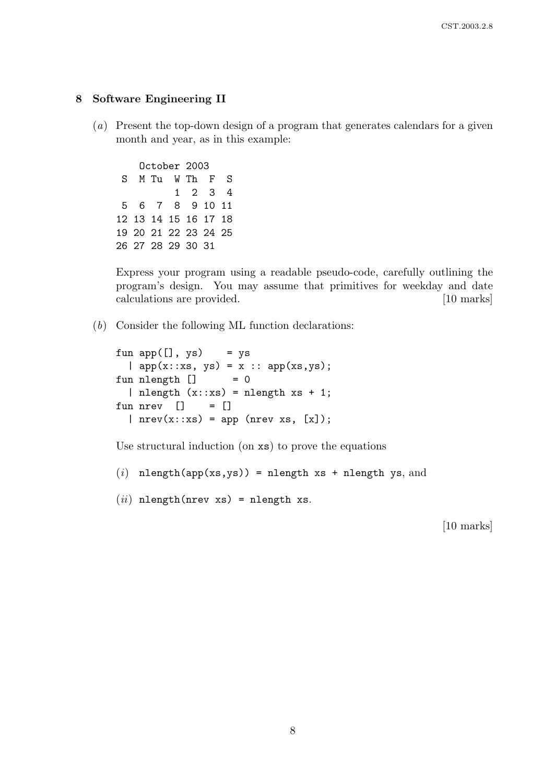#### 8 Software Engineering II

(a) Present the top-down design of a program that generates calendars for a given month and year, as in this example:

October 2003 S M Tu W Th F S 1 2 3 4 5 6 7 8 9 10 11 12 13 14 15 16 17 18 19 20 21 22 23 24 25 26 27 28 29 30 31

Express your program using a readable pseudo-code, carefully outlining the program's design. You may assume that primitives for weekday and date calculations are provided. [10 marks]

(b) Consider the following ML function declarations:

```
fun app([], ys) = ys
  | app(x::xs, ys) = x :: app(xs, ys);fun nlength [] = 0
  | nlength (x::xs) = nlength xs + 1;
fun nrev [] = []| nrev(x::xs) = app (nrev xs, [x]);
```
Use structural induction (on xs) to prove the equations

(i) nlength(app(xs,ys)) = nlength xs + nlength ys, and

```
(ii) nlength(nrev xs) = nlength xs.
```
[10 marks]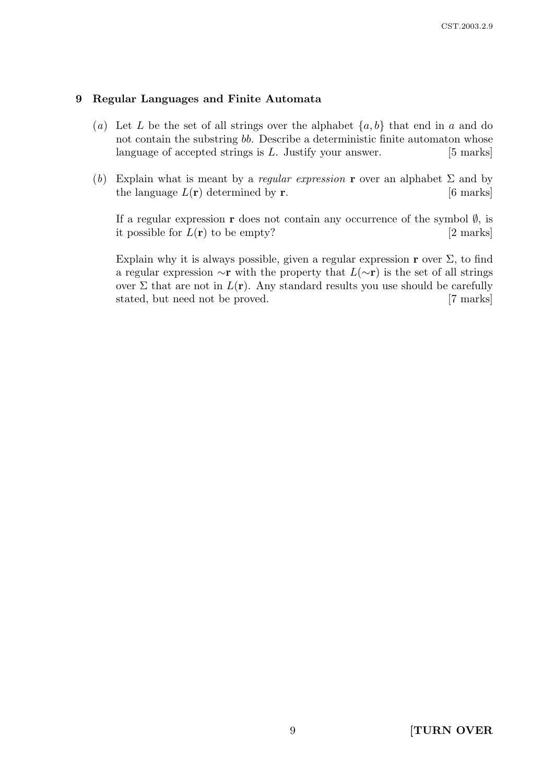## 9 Regular Languages and Finite Automata

- (a) Let L be the set of all strings over the alphabet  $\{a, b\}$  that end in a and do not contain the substring bb. Describe a deterministic finite automaton whose language of accepted strings is  $L$ . Justify your answer. [5 marks]
- (b) Explain what is meant by a regular expression **r** over an alphabet  $\Sigma$  and by the language  $L(\mathbf{r})$  determined by **r**. [6 marks]

If a regular expression r does not contain any occurrence of the symbol  $\emptyset$ , is it possible for  $L(\mathbf{r})$  to be empty? [2 marks]

Explain why it is always possible, given a regular expression  $\mathbf r$  over  $\Sigma$ , to find a regular expression  $\sim$ **r** with the property that  $L(\sim$ **r**) is the set of all strings over  $\Sigma$  that are not in  $L(\mathbf{r})$ . Any standard results you use should be carefully stated, but need not be proved. [7 marks]